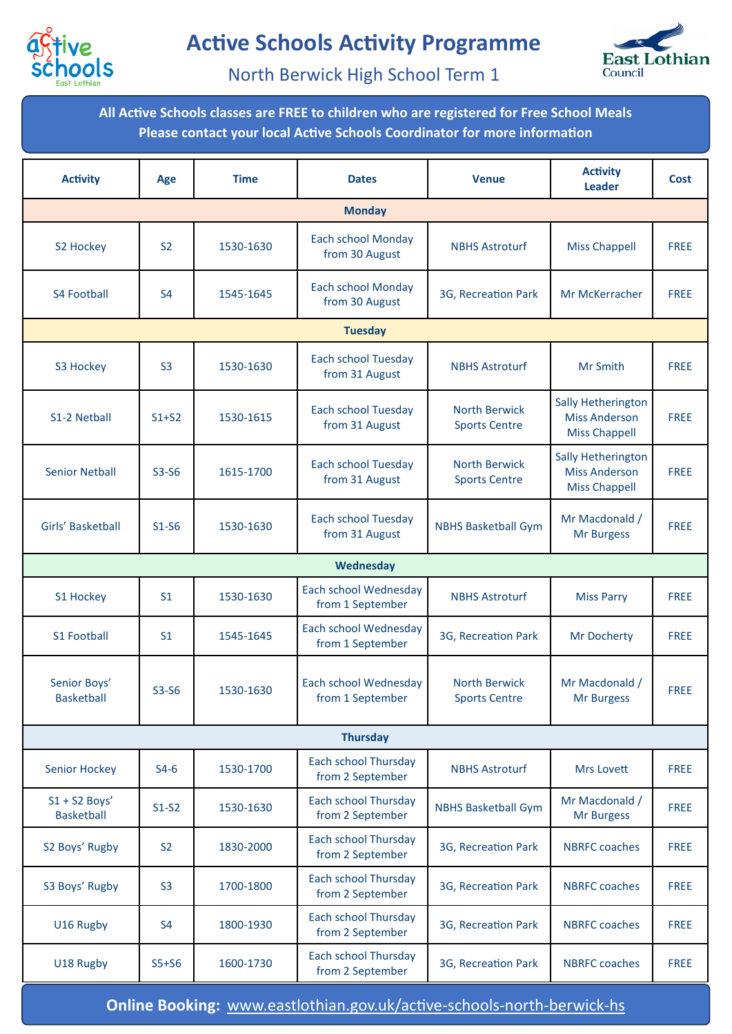



North Berwick High School Term 1

**All Active Schools classes are FREE to children who are registered for Free School Meals Please contact your local Active Schools Coordinator for more information**

| <b>Activity</b>                      | Age            | <b>Time</b> | <b>Dates</b>                                    | <b>Venue</b>                                 | <b>Activity</b><br><b>Leader</b>                                   | Cost        |  |  |  |  |
|--------------------------------------|----------------|-------------|-------------------------------------------------|----------------------------------------------|--------------------------------------------------------------------|-------------|--|--|--|--|
| <b>Monday</b>                        |                |             |                                                 |                                              |                                                                    |             |  |  |  |  |
| S2 Hockey                            | S <sub>2</sub> | 1530-1630   | <b>Each school Monday</b><br>from 30 August     | <b>NBHS Astroturf</b>                        | <b>Miss Chappell</b>                                               | <b>FREE</b> |  |  |  |  |
| <b>S4 Football</b>                   | <b>S4</b>      | 1545-1645   | <b>Each school Monday</b><br>from 30 August     | 3G, Recreation Park                          | Mr McKerracher                                                     | <b>FREE</b> |  |  |  |  |
| <b>Tuesday</b>                       |                |             |                                                 |                                              |                                                                    |             |  |  |  |  |
| S3 Hockey                            | S <sub>3</sub> | 1530-1630   | <b>Each school Tuesday</b><br>from 31 August    | <b>NBHS Astroturf</b>                        | Mr Smith                                                           | <b>FREE</b> |  |  |  |  |
| S1-2 Netball                         | $S1+S2$        | 1530-1615   | Each school Tuesday<br>from 31 August           | <b>North Berwick</b><br><b>Sports Centre</b> | Sally Hetherington<br><b>Miss Anderson</b><br><b>Miss Chappell</b> | <b>FREE</b> |  |  |  |  |
| <b>Senior Netball</b>                | $S3-S6$        | 1615-1700   | Each school Tuesday<br>from 31 August           | <b>North Berwick</b><br><b>Sports Centre</b> | Sally Hetherington<br><b>Miss Anderson</b><br><b>Miss Chappell</b> | <b>FREE</b> |  |  |  |  |
| Girls' Basketball                    | $S1-S6$        | 1530-1630   | <b>Each school Tuesday</b><br>from 31 August    | <b>NBHS Basketball Gym</b>                   | Mr Macdonald /<br>Mr Burgess                                       | <b>FREE</b> |  |  |  |  |
| Wednesday                            |                |             |                                                 |                                              |                                                                    |             |  |  |  |  |
| S1 Hockey                            | S <sub>1</sub> | 1530-1630   | Each school Wednesday<br>from 1 September       | <b>NBHS Astroturf</b>                        | <b>Miss Parry</b>                                                  | <b>FREE</b> |  |  |  |  |
| <b>S1 Football</b>                   | S <sub>1</sub> | 1545-1645   | Each school Wednesday<br>from 1 September       | 3G, Recreation Park                          | Mr Docherty                                                        | <b>FREE</b> |  |  |  |  |
| Senior Boys'<br><b>Basketball</b>    | $S3-S6$        | 1530-1630   | Each school Wednesday<br>from 1 September       | <b>North Berwick</b><br><b>Sports Centre</b> | Mr Macdonald /<br><b>Mr Burgess</b>                                | <b>FREE</b> |  |  |  |  |
|                                      |                |             | <b>Thursday</b>                                 |                                              |                                                                    |             |  |  |  |  |
| <b>Senior Hockey</b>                 | $S4-6$         | 1530-1700   | Each school Thursday<br>from 2 September        | <b>NBHS Astroturf</b>                        | Mrs Lovett                                                         | <b>FREE</b> |  |  |  |  |
| $S1 + S2$ Boys'<br><b>Basketball</b> | $S1-S2$        | 1530-1630   | <b>Each school Thursday</b><br>from 2 September | <b>NBHS Basketball Gym</b>                   | Mr Macdonald /<br><b>Mr Burgess</b>                                | <b>FREE</b> |  |  |  |  |
| S2 Boys' Rugby                       | S <sub>2</sub> | 1830-2000   | Each school Thursday<br>from 2 September        | 3G, Recreation Park                          | <b>NBRFC</b> coaches                                               | <b>FREE</b> |  |  |  |  |
| S3 Boys' Rugby                       | S <sub>3</sub> | 1700-1800   | Each school Thursday<br>from 2 September        | 3G, Recreation Park                          | <b>NBRFC</b> coaches                                               | <b>FREE</b> |  |  |  |  |
| U16 Rugby                            | S <sub>4</sub> | 1800-1930   | Each school Thursday<br>from 2 September        | 3G, Recreation Park                          | <b>NBRFC</b> coaches                                               | <b>FREE</b> |  |  |  |  |
| U18 Rugby                            | $S5+S6$        | 1600-1730   | Each school Thursday<br>from 2 September        | 3G, Recreation Park                          | <b>NBRFC</b> coaches                                               | <b>FREE</b> |  |  |  |  |

**Online Booking:** [www.eastlothian.gov.uk/active](http://www.eastlothian.gov.uk/active-schools-north-berwick-hs)-schools-north-berwick-hs